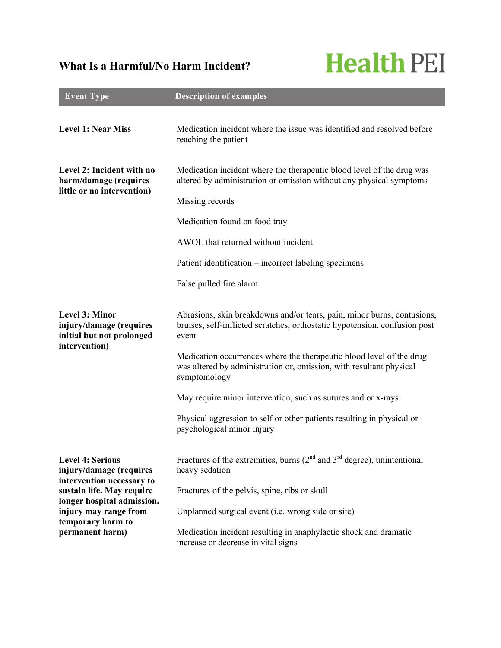## **What Is a Harmful/No Harm Incident?**

## **Health PEI**

| <b>Event Type</b>                                                                                                                                                                                           | <b>Description of examples</b>                                                                                                                                  |
|-------------------------------------------------------------------------------------------------------------------------------------------------------------------------------------------------------------|-----------------------------------------------------------------------------------------------------------------------------------------------------------------|
| <b>Level 1: Near Miss</b>                                                                                                                                                                                   | Medication incident where the issue was identified and resolved before<br>reaching the patient                                                                  |
| Level 2: Incident with no<br>harm/damage (requires<br>little or no intervention)                                                                                                                            | Medication incident where the therapeutic blood level of the drug was<br>altered by administration or omission without any physical symptoms<br>Missing records |
|                                                                                                                                                                                                             | Medication found on food tray                                                                                                                                   |
|                                                                                                                                                                                                             | AWOL that returned without incident                                                                                                                             |
|                                                                                                                                                                                                             | Patient identification – incorrect labeling specimens                                                                                                           |
|                                                                                                                                                                                                             | False pulled fire alarm                                                                                                                                         |
| <b>Level 3: Minor</b><br>injury/damage (requires<br>initial but not prolonged<br>intervention)                                                                                                              | Abrasions, skin breakdowns and/or tears, pain, minor burns, contusions,<br>bruises, self-inflicted scratches, orthostatic hypotension, confusion post<br>event  |
|                                                                                                                                                                                                             | Medication occurrences where the therapeutic blood level of the drug<br>was altered by administration or, omission, with resultant physical<br>symptomology     |
|                                                                                                                                                                                                             | May require minor intervention, such as sutures and or x-rays                                                                                                   |
|                                                                                                                                                                                                             | Physical aggression to self or other patients resulting in physical or<br>psychological minor injury                                                            |
| <b>Level 4: Serious</b><br>injury/damage (requires<br>intervention necessary to<br>sustain life. May require<br>longer hospital admission.<br>injury may range from<br>temporary harm to<br>permanent harm) | Fractures of the extremities, burns $(2nd$ and $3rd$ degree), unintentional<br>heavy sedation                                                                   |
|                                                                                                                                                                                                             | Fractures of the pelvis, spine, ribs or skull                                                                                                                   |
|                                                                                                                                                                                                             | Unplanned surgical event (i.e. wrong side or site)                                                                                                              |
|                                                                                                                                                                                                             | Medication incident resulting in anaphylactic shock and dramatic<br>increase or decrease in vital signs                                                         |